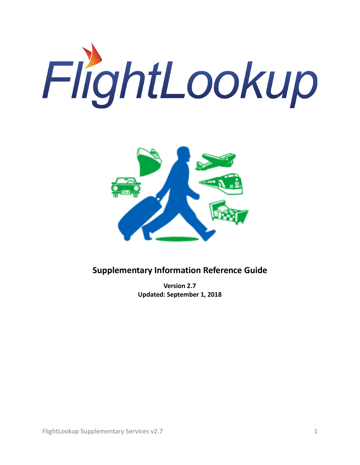



# **Supplementary Information Reference Guide**

**Version 2.7 Updated: September 1, 2018**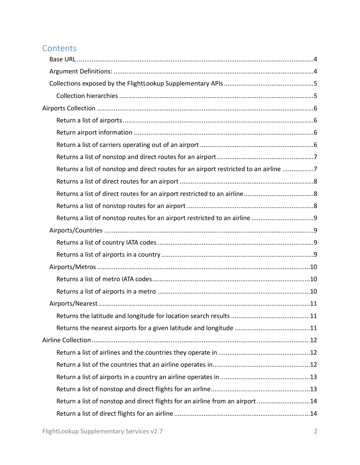# **Contents**

| Returns a list of nonstop and direct routes for an airport restricted to an airline 7 |  |
|---------------------------------------------------------------------------------------|--|
|                                                                                       |  |
|                                                                                       |  |
|                                                                                       |  |
|                                                                                       |  |
|                                                                                       |  |
|                                                                                       |  |
|                                                                                       |  |
|                                                                                       |  |
|                                                                                       |  |
|                                                                                       |  |
|                                                                                       |  |
|                                                                                       |  |
|                                                                                       |  |
|                                                                                       |  |
|                                                                                       |  |
|                                                                                       |  |
|                                                                                       |  |
|                                                                                       |  |
| Return a list of nonstop and direct flights for an airline from an airport14          |  |
|                                                                                       |  |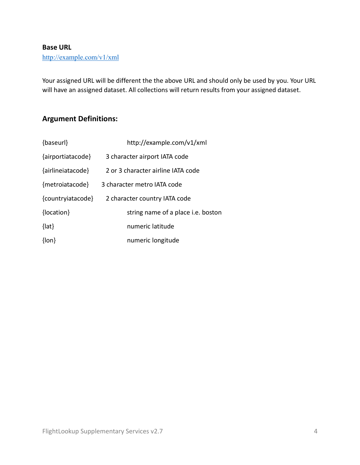#### <span id="page-3-0"></span>**Base URL**

# [http://example.com/v1/xml](http://services.qa.flightlookup.com/v1/xml/)

Your assigned URL will be different the the above URL and should only be used by you. Your URL will have an assigned dataset. All collections will return results from your assigned dataset.

# <span id="page-3-1"></span>**Argument Definitions:**

| {baseurl}         | http://example.com/v1/xml          |
|-------------------|------------------------------------|
| {airportiatacode} | 3 character airport IATA code      |
| {airlineiatacode} | 2 or 3 character airline IATA code |
| {metroiatacode}   | 3 character metro IATA code        |
| {countryiatacode} | 2 character country IATA code      |
| {location}        | string name of a place i.e. boston |
| $\{$ lat $\}$     | numeric latitude                   |
| $\{lon\}$         | numeric longitude                  |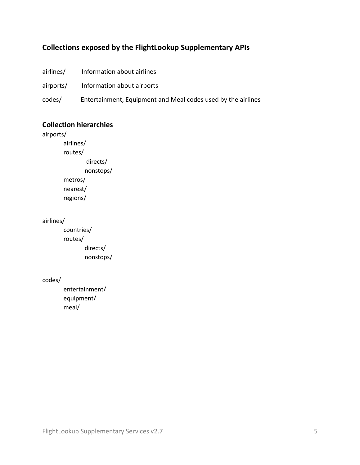# <span id="page-4-0"></span>**Collections exposed by the FlightLookup Supplementary APIs**

| airlines/ | Information about airlines                                   |
|-----------|--------------------------------------------------------------|
| airports/ | Information about airports                                   |
| codes/    | Entertainment, Equipment and Meal codes used by the airlines |

#### <span id="page-4-1"></span>**Collection hierarchies**

airports/ airlines/ routes/ directs/ nonstops/ metros/ nearest/ regions/

airlines/

 countries/ routes/ directs/ nonstops/

codes/

 entertainment/ equipment/ meal/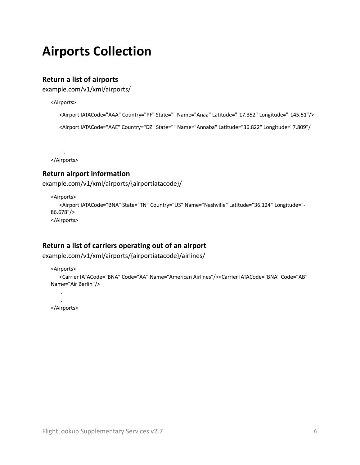# <span id="page-5-0"></span>**Airports Collection**

## <span id="page-5-1"></span>**Return a list of airports**

example.com/v1/xml/airports/

<Airports>

```
<Airport IATACode="AAA" Country="PF" State="" Name="Anaa" Latitude="-17.352" Longitude="-145.51"/>
```

```
<Airport IATACode="AAE" Country="DZ" State="" Name="Annaba" Latitude="36.822" Longitude="7.809"/
```
. </Airports>

.

#### <span id="page-5-2"></span>**Return airport information**

example.com/v1/xml/airports/{airportiatacode}/

```
<Airports>
   <Airport IATACode="BNA" State="TN" Country="US" Name="Nashville" Latitude="36.124" Longitude="-
86.678"/>
</Airports>
```
# <span id="page-5-3"></span>**Return a list of carriers operating out of an airport**

```
example.com/v1/xml/airports/{airportiatacode}/airlines/
```
<Airports>

```
<Carrier IATACode="BNA" Code="AA" Name="American Airlines"/><Carrier IATACode="BNA" Code="AB" 
Name="Air Berlin"/>
```
. </Airports>

.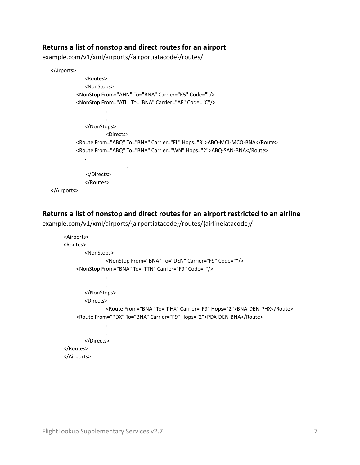#### <span id="page-6-0"></span>**Returns a list of nonstop and direct routes for an airport**

example.com/v1/xml/airports/{airportiatacode}/routes/

```
<Airports>
              <Routes>
              <NonStops>
          <NonStop From="AHN" To="BNA" Carrier="K5" Code=""/>
          <NonStop From="ATL" To="BNA" Carrier="AF" Code="C"/>
 .
 .
              </NonStops>
                     <Directs>
          <Route From="ABQ" To="BNA" Carrier="FL" Hops="3">ABQ-MCI-MCO-BNA</Route>
          <Route From="ABQ" To="BNA" Carrier="WN" Hops="2">ABQ-SAN-BNA</Route>
   .
                           .
               </Directs>
              </Routes>
  </Airports>
```
#### <span id="page-6-1"></span>**Returns a list of nonstop and direct routes for an airport restricted to an airline**

example.com/v1/xml/airports/{airportiatacode}/routes/{airlineiatacode}/

```
 <Airports>
       <Routes>
             <NonStops>
                    <NonStop From="BNA" To="DEN" Carrier="F9" Code=""/>
          <NonStop From="BNA" To="TTN" Carrier="F9" Code=""/>
 .
 .
             </NonStops>
             <Directs>
                   <Route From="BNA" To="PHX" Carrier="F9" Hops="2">BNA-DEN-PHX</Route>
         <Route From="PDX" To="BNA" Carrier="F9" Hops="2">PDX-DEN-BNA</Route>
 .
 .
             </Directs>
       </Routes>
```
</Airports>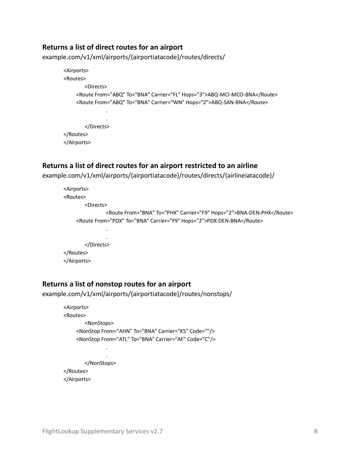#### <span id="page-7-0"></span>**Returns a list of direct routes for an airport**

example.com/v1/xml/airports/{airportiatacode}/routes/directs/

```
 <Airports>
       <Routes>
              <Directs>
          <Route From="ABQ" To="BNA" Carrier="FL" Hops="3">ABQ-MCI-MCO-BNA</Route>
          <Route From="ABQ" To="BNA" Carrier="WN" Hops="2">ABQ-SAN-BNA</Route>
 .
 .
              </Directs>
       </Routes>
       </Airports>
```
#### <span id="page-7-1"></span>**Returns a list of direct routes for an airport restricted to an airline**

example.com/v1/xml/airports/{airportiatacode}/routes/directs/{airlineiatacode}/

```
 <Airports>
       <Routes>
              <Directs>
                     <Route From="BNA" To="PHX" Carrier="F9" Hops="2">BNA-DEN-PHX</Route>
          <Route From="PDX" To="BNA" Carrier="F9" Hops="2">PDX-DEN-BNA</Route>
 .
 .
              </Directs>
       </Routes>
       </Airports>
```
#### <span id="page-7-2"></span>**Returns a list of nonstop routes for an airport**

example.com/v1/xml/airports/{airportiatacode}/routes/nonstops/

```
 <Airports>
       <Routes>
             <NonStops>
          <NonStop From="AHN" To="BNA" Carrier="K5" Code=""/>
          <NonStop From="ATL" To="BNA" Carrier="AF" Code="C"/>
 .
 .
             </NonStops>
       </Routes>
       </Airports>
```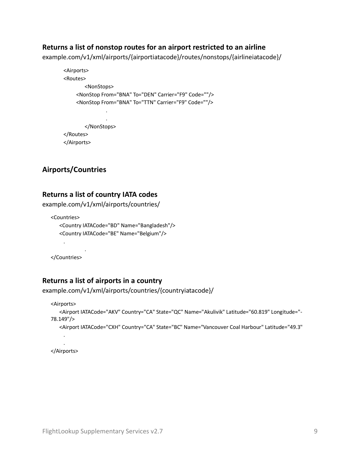#### <span id="page-8-0"></span>**Returns a list of nonstop routes for an airport restricted to an airline**

example.com/v1/xml/airports/{airportiatacode}/routes/nonstops/{airlineiatacode}/

```
 <Airports>
       <Routes>
             <NonStops>
          <NonStop From="BNA" To="DEN" Carrier="F9" Code=""/>
          <NonStop From="BNA" To="TTN" Carrier="F9" Code=""/>
 .
 .
             </NonStops>
       </Routes>
       </Airports>
```
# <span id="page-8-1"></span>**Airports/Countries**

#### <span id="page-8-2"></span>**Returns a list of country IATA codes**

example.com/v1/xml/airports/countries/

```
<Countries>
   <Country IATACode="BD" Name="Bangladesh"/>
   <Country IATACode="BE" Name="Belgium"/>
```
 . </Countries>

.

## <span id="page-8-3"></span>**Returns a list of airports in a country**

```
example.com/v1/xml/airports/countries/{countryiatacode}/
```

```
<Airports>
     <Airport IATACode="AKV" Country="CA" State="QC" Name="Akulivik" Latitude="60.819" Longitude="-
  78.149"/>
     <Airport IATACode="CXH" Country="CA" State="BC" Name="Vancouver Coal Harbour" Latitude="49.3"
 .
 .
```
</Airports>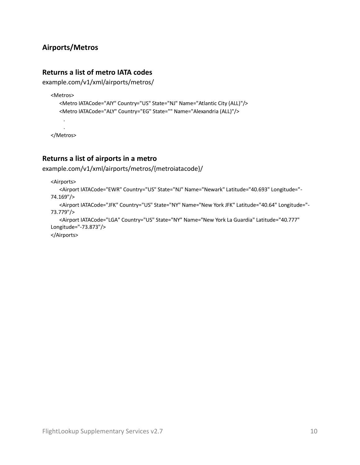# <span id="page-9-0"></span>**Airports/Metros**

# <span id="page-9-1"></span>**Returns a list of metro IATA codes**

example.com/v1/xml/airports/metros/

<Metros>

```
<Metro IATACode="AIY" Country="US" State="NJ" Name="Atlantic City (ALL)"/>
<Metro IATACode="ALY" Country="EG" State="" Name="Alexandria (ALL)"/>
```
 . </Metros>

.

## <span id="page-9-2"></span>**Returns a list of airports in a metro**

```
example.com/v1/xml/airports/metros/{metroiatacode}/
```
<Airports>

```
<Airport IATACode="EWR" Country="US" State="NJ" Name="Newark" Latitude="40.693" Longitude="-
74.169"/>
```

```
<Airport IATACode="JFK" Country="US" State="NY" Name="New York JFK" Latitude="40.64" Longitude="-
73.779"/>
```

```
<Airport IATACode="LGA" Country="US" State="NY" Name="New York La Guardia" Latitude="40.777" 
Longitude="-73.873"/>
```
</Airports>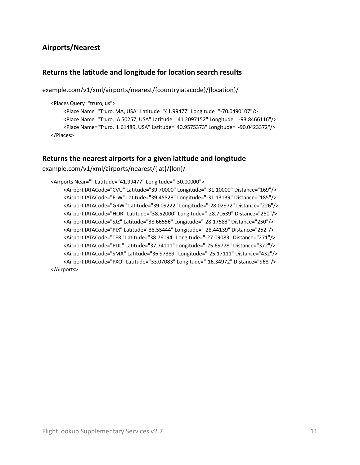# <span id="page-10-0"></span>**Airports/Nearest**

## <span id="page-10-1"></span>**Returns the latitude and longitude for location search results**

example.com/v1/xml/airports/nearest/{countryiatacode}/{location}/

<Places Query="truro, us">

<Place Name="Truro, MA, USA" Latitude="41.99477" Longitude="-70.0490107"/> <Place Name="Truro, IA 50257, USA" Latitude="41.2097152" Longitude="-93.8466116"/> <Place Name="Truro, IL 61489, USA" Latitude="40.9575373" Longitude="-90.0423372"/> </Places>

#### <span id="page-10-2"></span>**Returns the nearest airports for a given latitude and longitude**

example.com/v1/xml/airports/nearest/{lat}/{lon}/

```
<Airports Near="" Latitude="41.99477" Longitude="-30.00000">
     <Airport IATACode="CVU" Latitude="39.70000" Longitude="-31.10000" Distance="169"/>
     <Airport IATACode="FLW" Latitude="39.45528" Longitude="-31.13139" Distance="185"/>
     <Airport IATACode="GRW" Latitude="39.09222" Longitude="-28.02972" Distance="226"/>
     <Airport IATACode="HOR" Latitude="38.52000" Longitude="-28.71639" Distance="250"/>
     <Airport IATACode="SJZ" Latitude="38.66556" Longitude="-28.17583" Distance="250"/>
     <Airport IATACode="PIX" Latitude="38.55444" Longitude="-28.44139" Distance="252"/>
     <Airport IATACode="TER" Latitude="38.76194" Longitude="-27.09083" Distance="271"/>
     <Airport IATACode="PDL" Latitude="37.74111" Longitude="-25.69778" Distance="372"/>
     <Airport IATACode="SMA" Latitude="36.97389" Longitude="-25.17111" Distance="432"/>
     <Airport IATACode="PXO" Latitude="33.07083" Longitude="-16.34972" Distance="968"/>
</Airports>
```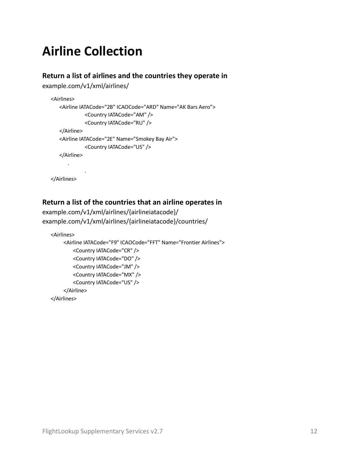# <span id="page-11-0"></span>**Airline Collection**

## <span id="page-11-1"></span>**Return a list of airlines and the countries they operate in**

example.com/v1/xml/airlines/

```
<Airlines>
   <Airline IATACode="2B" ICAOCode="ARD" Name="AK Bars Aero">
              <Country IATACode="AM" />
              <Country IATACode="RU" />
   </Airline>
   <Airline IATACode="2E" Name="Smokey Bay Air">
              <Country IATACode="US" />
   </Airline>
      .
             .
</Airlines>
```
# <span id="page-11-2"></span>**Return a list of the countries that an airline operates in**

```
example.com/v1/xml/airlines/{airlineiatacode}/
example.com/v1/xml/airlines/{airlineiatacode}/countries/
```

```
<Airlines>
     <Airline IATACode="F9" ICAOCode="FFT" Name="Frontier Airlines">
         <Country IATACode="CR" />
         <Country IATACode="DO" />
         <Country IATACode="JM" />
         <Country IATACode="MX" />
         <Country IATACode="US" />
     </Airline>
</Airlines>
```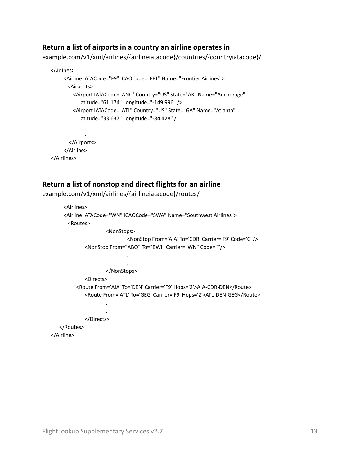#### <span id="page-12-0"></span>**Return a list of airports in a country an airline operates in**

example.com/v1/xml/airlines/{airlineiatacode}/countries/{countryiatacode}/

```
<Airlines>
     <Airline IATACode="F9" ICAOCode="FFT" Name="Frontier Airlines">
       <Airports>
         <Airport IATACode="ANC" Country="US" State="AK" Name="Anchorage"
           Latitude="61.174" Longitude="-149.996" />
         <Airport IATACode="ATL" Country="US" State="GA" Name="Atlanta"
           Latitude="33.637" Longitude="-84.428" /
         .
      .
        </Airports>
     </Airline>
```
</Airlines>

#### <span id="page-12-1"></span>**Return a list of nonstop and direct flights for an airline**

example.com/v1/xml/airlines/{airlineiatacode}/routes/

```
 <Airlines>
       <Airline IATACode="WN" ICAOCode="SWA" Name="Southwest Airlines">
       <Routes>
                    <NonStops>
                           <NonStop From='AIA' To='CDR' Carrier='F9' Code='C' />
            <NonStop From="ABQ" To="BWI" Carrier="WN" Code=""/>
 .
 .
                    </NonStops>
             <Directs>
          <Route From='AIA' To='DEN' Carrier='F9' Hops='2'>AIA-CDR-DEN</Route>
             <Route From='ATL' To='GEG' Carrier='F9' Hops='2'>ATL-DEN-GEG</Route>
 .
 .
             </Directs>
    </Routes>
  </Airline>
```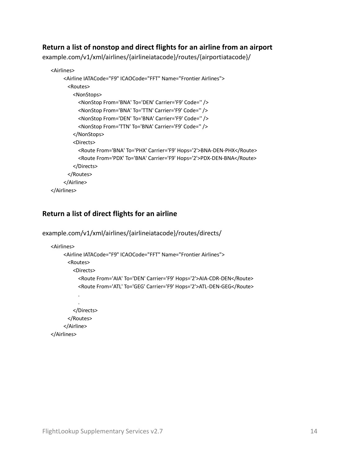## <span id="page-13-0"></span>**Return a list of nonstop and direct flights for an airline from an airport**

example.com/v1/xml/airlines/{airlineiatacode}/routes/{airportiatacode}/

```
<Airlines>
     <Airline IATACode="F9" ICAOCode="FFT" Name="Frontier Airlines">
       <Routes>
         <NonStops>
            <NonStop From='BNA' To='DEN' Carrier='F9' Code='' />
            <NonStop From='BNA' To='TTN' Carrier='F9' Code='' />
            <NonStop From='DEN' To='BNA' Carrier='F9' Code='' />
            <NonStop From='TTN' To='BNA' Carrier='F9' Code='' />
          </NonStops>
          <Directs>
            <Route From='BNA' To='PHX' Carrier='F9' Hops='2'>BNA-DEN-PHX</Route>
            <Route From='PDX' To='BNA' Carrier='F9' Hops='2'>PDX-DEN-BNA</Route>
         </Directs>
       </Routes>
     </Airline>
</Airlines>
```
# <span id="page-13-1"></span>**Return a list of direct flights for an airline**

```
example.com/v1/xml/airlines/{airlineiatacode}/routes/directs/
```

```
<Airlines>
     <Airline IATACode="F9" ICAOCode="FFT" Name="Frontier Airlines">
       <Routes>
         <Directs>
           <Route From='AIA' To='DEN' Carrier='F9' Hops='2'>AIA-CDR-DEN</Route>
           <Route From='ATL' To='GEG' Carrier='F9' Hops='2'>ATL-DEN-GEG</Route>
      .
      .
         </Directs>
       </Routes>
     </Airline>
</Airlines>
```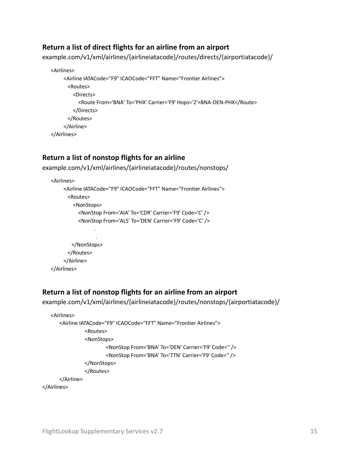### <span id="page-14-0"></span>**Return a list of direct flights for an airline from an airport**

example.com/v1/xml/airlines/{airlineiatacode}/routes/directs/{airportiatacode}/

```
<Airlines>
     <Airline IATACode="F9" ICAOCode="FFT" Name="Frontier Airlines">
       <Routes>
         <Directs>
            <Route From='BNA' To='PHX' Carrier='F9' Hops='2'>BNA-DEN-PHX</Route>
         </Directs>
       </Routes>
     </Airline>
</Airlines>
```
#### <span id="page-14-1"></span>**Return a list of nonstop flights for an airline**

example.com/v1/xml/airlines/{airlineiatacode}/routes/nonstops/

```
<Airlines>
    <Airline IATACode="F9" ICAOCode="FFT" Name="Frontier Airlines">
       <Routes>
         <NonStops>
           <NonStop From='AIA' To='CDR' Carrier='F9' Code='C' />
           <NonStop From='ALS' To='DEN' Carrier='F9' Code='C' />
      .
      .
        </NonStops>
       </Routes>
    </Airline>
</Airlines>
```
#### <span id="page-14-2"></span>**Return a list of nonstop flights for an airline from an airport**

```
example.com/v1/xml/airlines/{airlineiatacode}/routes/nonstops/{airportiatacode}/
```

```
<Airlines>
   <Airline IATACode="F9" ICAOCode="FFT" Name="Frontier Airlines">
              <Routes>
              <NonStops>
                       <NonStop From='BNA' To='DEN' Carrier='F9' Code='' />
                       <NonStop From='BNA' To='TTN' Carrier='F9' Code='' />
              </NonStops>
              </Routes>
   </Airline>
```
</Airlines>